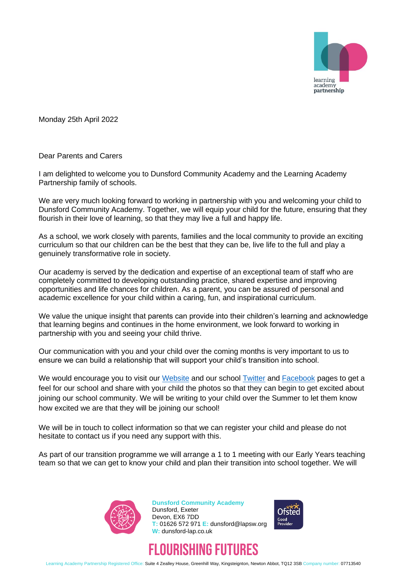

Monday 25th April 2022

Dear Parents and Carers

I am delighted to welcome you to Dunsford Community Academy and the Learning Academy Partnership family of schools.

We are very much looking forward to working in partnership with you and welcoming your child to Dunsford Community Academy. Together, we will equip your child for the future, ensuring that they flourish in their love of learning, so that they may live a full and happy life.

As a school, we work closely with parents, families and the local community to provide an exciting curriculum so that our children can be the best that they can be, live life to the full and play a genuinely transformative role in society.

Our academy is served by the dedication and expertise of an exceptional team of staff who are completely committed to developing outstanding practice, shared expertise and improving opportunities and life chances for children. As a parent, you can be assured of personal and academic excellence for your child within a caring, fun, and inspirational curriculum.

We value the unique insight that parents can provide into their children's learning and acknowledge that learning begins and continues in the home environment, we look forward to working in partnership with you and seeing your child thrive.

Our communication with you and your child over the coming months is very important to us to ensure we can build a relationship that will support your child's transition into school.

We would encourage you to visit our [Website](https://dunsford-lap.co.uk/) and our school [Twitter](https://twitter.com/DunsfordLAP?scrlybrkr=fb81fd62) and [Facebook](https://www.facebook.com/dunsfordLAP/?msclkid=d1418f75c49211ec8a1f6c2efaf73b84) pages to get a feel for our school and share with your child the photos so that they can begin to get excited about joining our school community. We will be writing to your child over the Summer to let them know how excited we are that they will be joining our school!

We will be in touch to collect information so that we can register your child and please do not hesitate to contact us if you need any support with this.

As part of our transition programme we will arrange a 1 to 1 meeting with our Early Years teaching team so that we can get to know your child and plan their transition into school together. We will



**Dunsford Community Academy** Dunsford, Exeter Devon, EX6 7DD **T:** 01626 572 971 **E:** dunsford@lapsw.org **W:** dunsford-lap.co.uk





Learning Academy Partnership Registered Office: Suite 4 Zealley House, Greenhill Way, Kingsteignton, Newton Abbot, TQ12 3SB Company number: 07713540